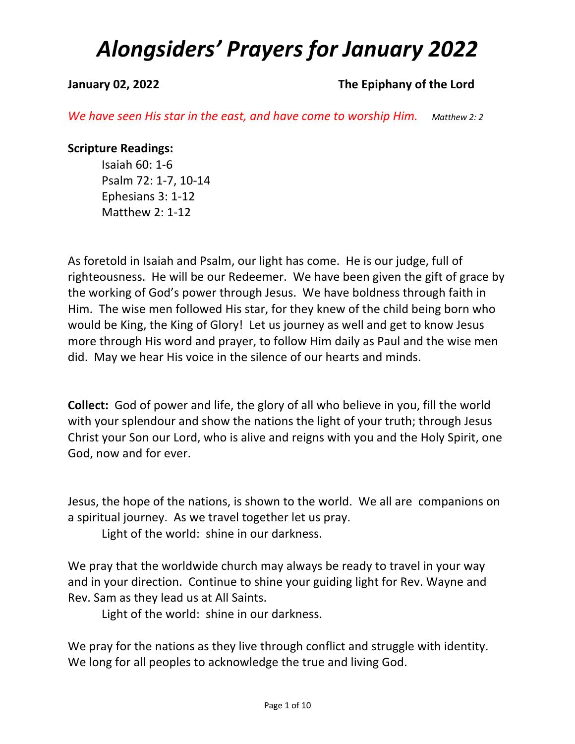### **January 02, 2022 The Epiphany of the Lord**

*We have seen His star in the east, and have come to worship Him.* Matthew 2: 2

### **Scripture Readings:**

Isaiah 60: 1-6 Psalm 72: 1-7, 10-14 Ephesians 3: 1-12 Matthew 2: 1-12

As foretold in Isaiah and Psalm, our light has come. He is our judge, full of righteousness. He will be our Redeemer. We have been given the gift of grace by the working of God's power through Jesus. We have boldness through faith in Him. The wise men followed His star, for they knew of the child being born who would be King, the King of Glory! Let us journey as well and get to know Jesus more through His word and prayer, to follow Him daily as Paul and the wise men did. May we hear His voice in the silence of our hearts and minds.

**Collect:** God of power and life, the glory of all who believe in you, fill the world with your splendour and show the nations the light of your truth; through Jesus Christ your Son our Lord, who is alive and reigns with you and the Holy Spirit, one God, now and for ever.

Jesus, the hope of the nations, is shown to the world. We all are companions on a spiritual journey. As we travel together let us pray.

Light of the world: shine in our darkness.

We pray that the worldwide church may always be ready to travel in your way and in your direction. Continue to shine your guiding light for Rev. Wayne and Rev. Sam as they lead us at All Saints.

Light of the world: shine in our darkness.

We pray for the nations as they live through conflict and struggle with identity. We long for all peoples to acknowledge the true and living God.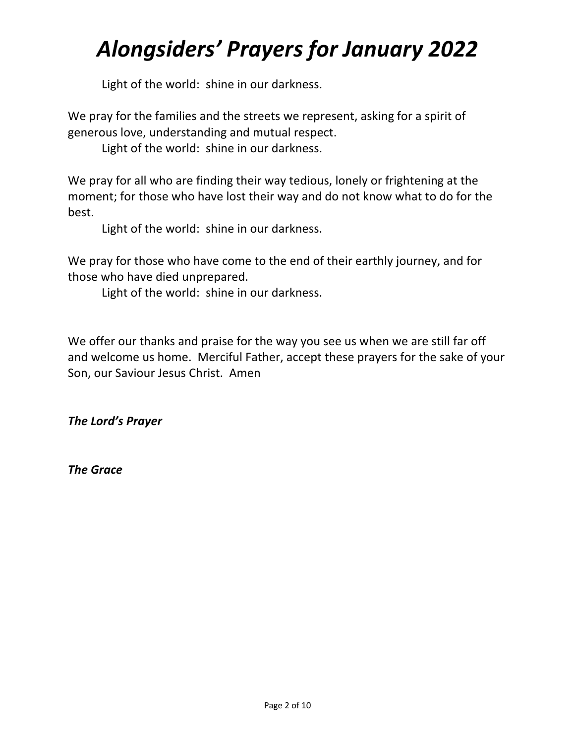Light of the world: shine in our darkness.

We pray for the families and the streets we represent, asking for a spirit of generous love, understanding and mutual respect.

Light of the world: shine in our darkness.

We pray for all who are finding their way tedious, lonely or frightening at the moment; for those who have lost their way and do not know what to do for the best.

Light of the world: shine in our darkness.

We pray for those who have come to the end of their earthly journey, and for those who have died unprepared.

Light of the world: shine in our darkness.

We offer our thanks and praise for the way you see us when we are still far off and welcome us home. Merciful Father, accept these prayers for the sake of your Son, our Saviour Jesus Christ. Amen

*The Lord's Prayer*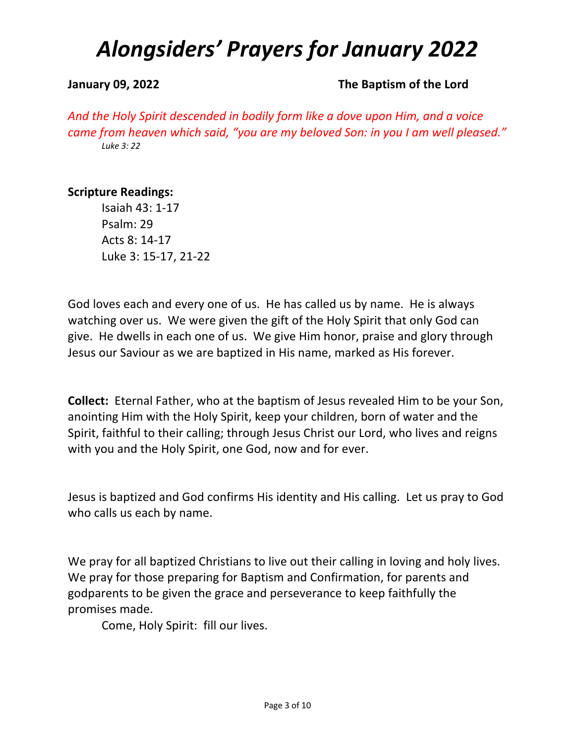#### **January 09, 2022 The Baptism of the Lord**

*And the Holy Spirit descended in bodily form like a dove upon Him, and a voice came from heaven which said, "you are my beloved Son: in you I am well pleased." Luke 3: 22*

### **Scripture Readings:**

Isaiah 43: 1-17 Psalm: 29 Acts 8: 14-17 Luke 3: 15-17, 21-22

God loves each and every one of us. He has called us by name. He is always watching over us. We were given the gift of the Holy Spirit that only God can give. He dwells in each one of us. We give Him honor, praise and glory through Jesus our Saviour as we are baptized in His name, marked as His forever.

**Collect:** Eternal Father, who at the baptism of Jesus revealed Him to be your Son, anointing Him with the Holy Spirit, keep your children, born of water and the Spirit, faithful to their calling; through Jesus Christ our Lord, who lives and reigns with you and the Holy Spirit, one God, now and for ever.

Jesus is baptized and God confirms His identity and His calling. Let us pray to God who calls us each by name.

We pray for all baptized Christians to live out their calling in loving and holy lives. We pray for those preparing for Baptism and Confirmation, for parents and godparents to be given the grace and perseverance to keep faithfully the promises made.

Come, Holy Spirit: fill our lives.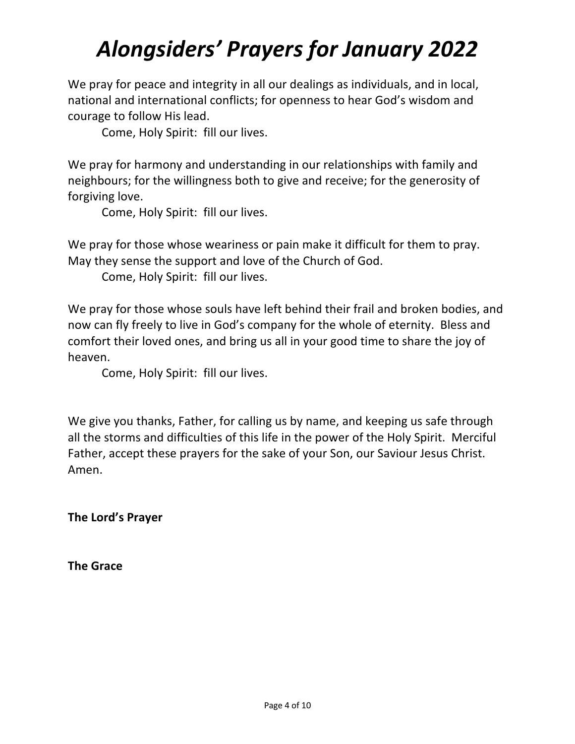We pray for peace and integrity in all our dealings as individuals, and in local, national and international conflicts; for openness to hear God's wisdom and courage to follow His lead.

Come, Holy Spirit: fill our lives.

We pray for harmony and understanding in our relationships with family and neighbours; for the willingness both to give and receive; for the generosity of forgiving love.

Come, Holy Spirit: fill our lives.

We pray for those whose weariness or pain make it difficult for them to pray. May they sense the support and love of the Church of God.

Come, Holy Spirit: fill our lives.

We pray for those whose souls have left behind their frail and broken bodies, and now can fly freely to live in God's company for the whole of eternity. Bless and comfort their loved ones, and bring us all in your good time to share the joy of heaven.

Come, Holy Spirit: fill our lives.

We give you thanks, Father, for calling us by name, and keeping us safe through all the storms and difficulties of this life in the power of the Holy Spirit. Merciful Father, accept these prayers for the sake of your Son, our Saviour Jesus Christ. Amen.

**The Lord's Prayer**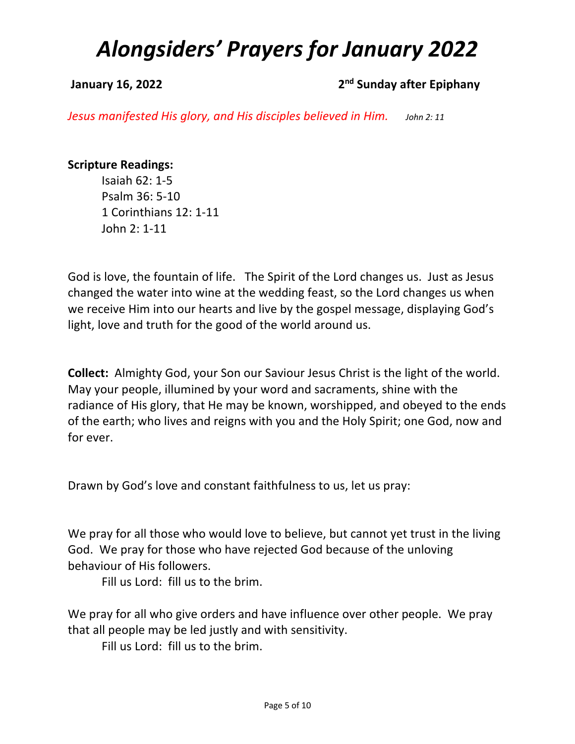### **January 16, 2022 2nd 2nd** Sunday after Epiphany

*Jesus manifested His glory, and His disciples believed in Him. John 2: 11*

### **Scripture Readings:**

Isaiah 62: 1-5 Psalm 36: 5-10 1 Corinthians 12: 1-11 John 2: 1-11

God is love, the fountain of life. The Spirit of the Lord changes us. Just as Jesus changed the water into wine at the wedding feast, so the Lord changes us when we receive Him into our hearts and live by the gospel message, displaying God's light, love and truth for the good of the world around us.

**Collect:** Almighty God, your Son our Saviour Jesus Christ is the light of the world. May your people, illumined by your word and sacraments, shine with the radiance of His glory, that He may be known, worshipped, and obeyed to the ends of the earth; who lives and reigns with you and the Holy Spirit; one God, now and for ever.

Drawn by God's love and constant faithfulness to us, let us pray:

We pray for all those who would love to believe, but cannot yet trust in the living God. We pray for those who have rejected God because of the unloving behaviour of His followers.

Fill us Lord: fill us to the brim.

We pray for all who give orders and have influence over other people. We pray that all people may be led justly and with sensitivity.

Fill us Lord: fill us to the brim.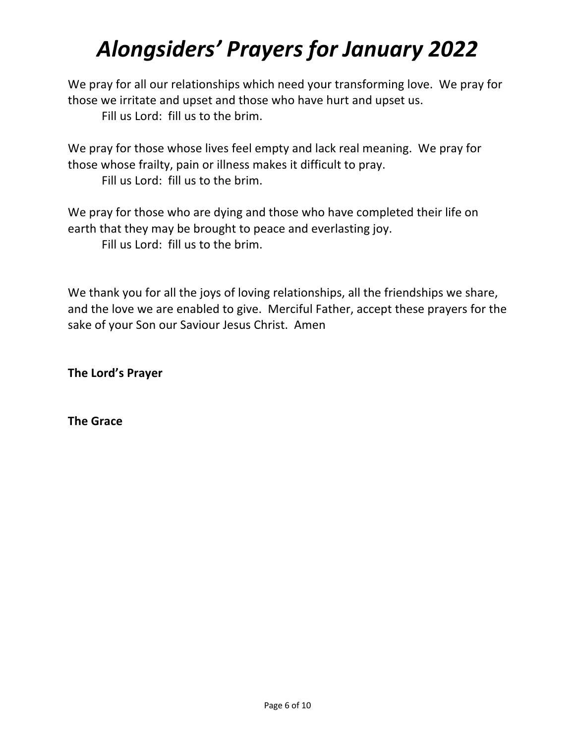We pray for all our relationships which need your transforming love. We pray for those we irritate and upset and those who have hurt and upset us.

Fill us Lord: fill us to the brim.

We pray for those whose lives feel empty and lack real meaning. We pray for those whose frailty, pain or illness makes it difficult to pray.

Fill us Lord: fill us to the brim.

We pray for those who are dying and those who have completed their life on earth that they may be brought to peace and everlasting joy. Fill us Lord: fill us to the brim.

We thank you for all the joys of loving relationships, all the friendships we share, and the love we are enabled to give. Merciful Father, accept these prayers for the sake of your Son our Saviour Jesus Christ. Amen

**The Lord's Prayer**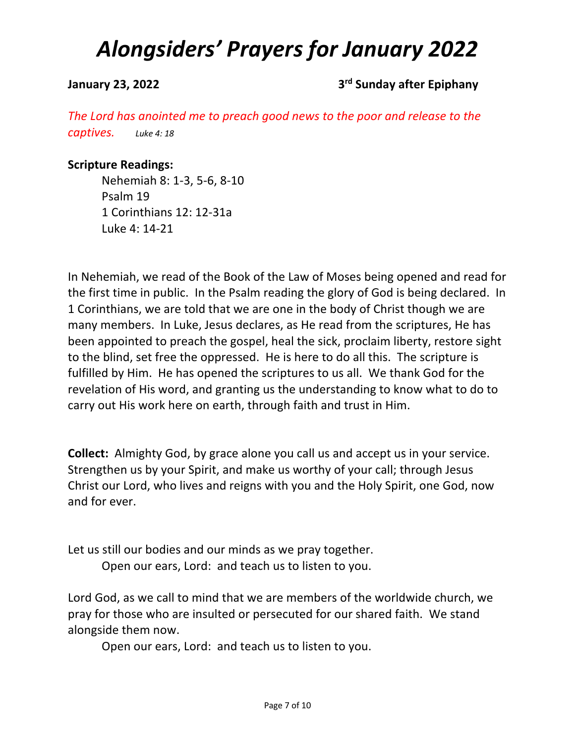### **January 23, 2022 3rd Sunday after Epiphany**

*The Lord has anointed me to preach good news to the poor and release to the captives. Luke 4: 18*

#### **Scripture Readings:**

Nehemiah 8: 1-3, 5-6, 8-10 Psalm 19 1 Corinthians 12: 12-31a Luke 4: 14-21

In Nehemiah, we read of the Book of the Law of Moses being opened and read for the first time in public. In the Psalm reading the glory of God is being declared. In 1 Corinthians, we are told that we are one in the body of Christ though we are many members. In Luke, Jesus declares, as He read from the scriptures, He has been appointed to preach the gospel, heal the sick, proclaim liberty, restore sight to the blind, set free the oppressed. He is here to do all this. The scripture is fulfilled by Him. He has opened the scriptures to us all. We thank God for the revelation of His word, and granting us the understanding to know what to do to carry out His work here on earth, through faith and trust in Him.

**Collect:** Almighty God, by grace alone you call us and accept us in your service. Strengthen us by your Spirit, and make us worthy of your call; through Jesus Christ our Lord, who lives and reigns with you and the Holy Spirit, one God, now and for ever.

Let us still our bodies and our minds as we pray together. Open our ears, Lord: and teach us to listen to you.

Lord God, as we call to mind that we are members of the worldwide church, we pray for those who are insulted or persecuted for our shared faith. We stand alongside them now.

Open our ears, Lord: and teach us to listen to you.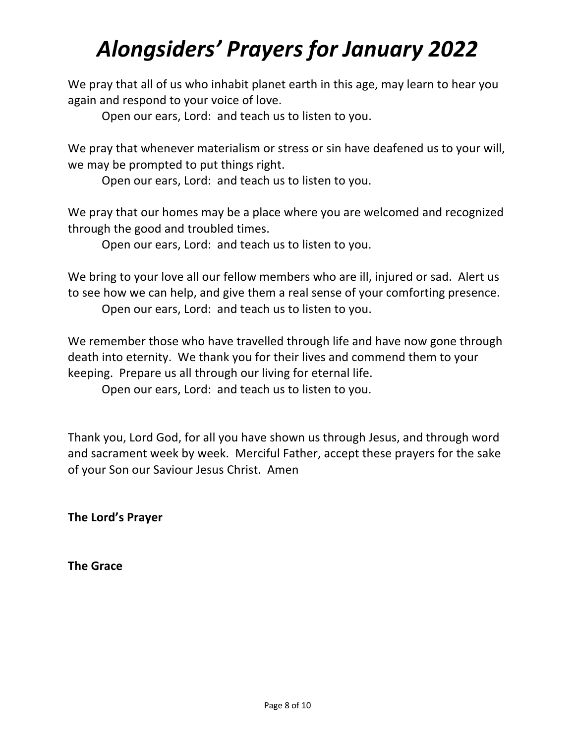We pray that all of us who inhabit planet earth in this age, may learn to hear you again and respond to your voice of love.

Open our ears, Lord: and teach us to listen to you.

We pray that whenever materialism or stress or sin have deafened us to your will, we may be prompted to put things right.

Open our ears, Lord: and teach us to listen to you.

We pray that our homes may be a place where you are welcomed and recognized through the good and troubled times.

Open our ears, Lord: and teach us to listen to you.

We bring to your love all our fellow members who are ill, injured or sad. Alert us to see how we can help, and give them a real sense of your comforting presence. Open our ears, Lord: and teach us to listen to you.

We remember those who have travelled through life and have now gone through death into eternity. We thank you for their lives and commend them to your keeping. Prepare us all through our living for eternal life.

Open our ears, Lord: and teach us to listen to you.

Thank you, Lord God, for all you have shown us through Jesus, and through word and sacrament week by week. Merciful Father, accept these prayers for the sake of your Son our Saviour Jesus Christ. Amen

**The Lord's Prayer**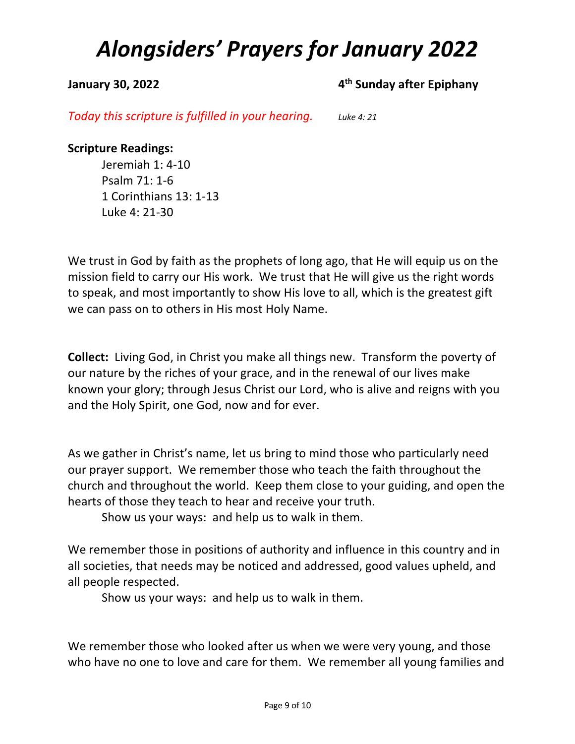### **January 30, 2022 4th Sunday after Epiphany**

*Today this scripture is fulfilled in your hearing. Luke 4: 21*

### **Scripture Readings:**

Jeremiah 1: 4-10 Psalm 71: 1-6 1 Corinthians 13: 1-13 Luke 4: 21-30

We trust in God by faith as the prophets of long ago, that He will equip us on the mission field to carry our His work. We trust that He will give us the right words to speak, and most importantly to show His love to all, which is the greatest gift we can pass on to others in His most Holy Name.

**Collect:** Living God, in Christ you make all things new. Transform the poverty of our nature by the riches of your grace, and in the renewal of our lives make known your glory; through Jesus Christ our Lord, who is alive and reigns with you and the Holy Spirit, one God, now and for ever.

As we gather in Christ's name, let us bring to mind those who particularly need our prayer support. We remember those who teach the faith throughout the church and throughout the world. Keep them close to your guiding, and open the hearts of those they teach to hear and receive your truth.

Show us your ways: and help us to walk in them.

We remember those in positions of authority and influence in this country and in all societies, that needs may be noticed and addressed, good values upheld, and all people respected.

Show us your ways: and help us to walk in them.

We remember those who looked after us when we were very young, and those who have no one to love and care for them. We remember all young families and